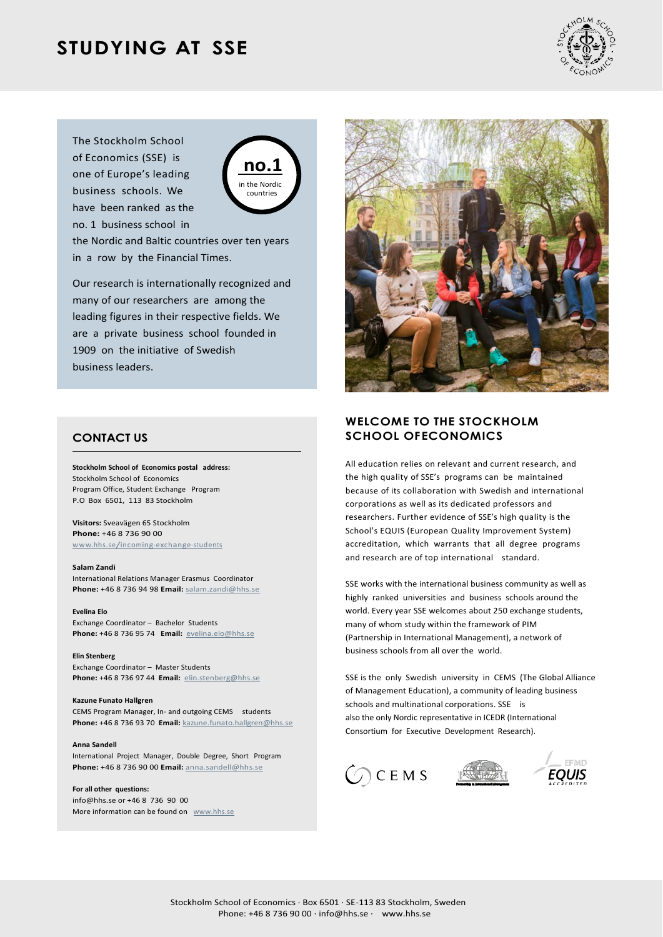# **STUDYING AT SSE**



The Stockholm School of Economics (SSE) is one of Europe's leading business schools. We have been ranked as the no. 1 business school in



the Nordic and Baltic countries over ten years in a row by the Financial Times.

Our research is internationally recognized and many of our researchers are among the leading figures in their respective fields. We are a private business school founded in 1909 on the initiative of Swedish business leaders.

# **CONTACT US**

**Stockholm School of Economics postal address:** Stockholm School of Economics Program Office, Student Exchange Program P.O Box 6501, 113 83 Stockholm

**Visitors:** Sveavägen 65 Stockholm **Phone:** +46 8 736 90 00 [www.hhs.se/incoming-exchange-students](http://www.hhs.se/incoming-exchange-students)

#### **Salam Zandi**

International Relations Manager Erasmus Coordinator **Phone:** +46 8 736 94 98 **Email:** [salam.zandi@hhs.se](mailto:salam.zandi@hhs.se)

### **Evelina Elo**

Exchange Coordinator – Bachelor Students **Phone:** +46 8 736 95 74 **Email:** [evelina.elo@hhs.se](mailto:evelina.elo@hhs.se)

**Elin Stenberg** Exchange Coordinator – Master Students **Phone:** +46 8 736 97 44 **Email:** [elin.stenberg@hhs.se](mailto:elin.stenberg@hhs.se)

**Kazune Funato Hallgren** CEMS Program Manager, In- and outgoing CEMS students **Phone:** +46 8 736 93 70 **Email:** [kazune.funato.hallgren@hhs.se](mailto:kazune.funato.hallgren@hhs.se)

#### **Anna Sandell**

International Project Manager, Double Degree, Short Program **Phone:** +46 8 736 90 00 **Email:** [anna.sandell@hhs.se](mailto:anna.sandell@hhs.se)

#### **For all other questions:**

[info@hhs.se](mailto:info@hhs.se) or +46 8 736 90 00 More information can be found on [www.hhs.se](http://www.hhs.se/)



# **WELCOME TO THE STOCKHOLM SCHOOL OFECONOMICS**

All education relies on relevant and current research, and the high quality of SSE's programs can be maintained because of its collaboration with Swedish and international corporations as well as its dedicated professors and researchers. Further evidence of SSE's high quality is the School's EQUIS (European Quality Improvement System) accreditation, which warrants that all degree programs and research are of top international standard.

SSE works with the international business community as well as highly ranked universities and business schools around the world. Every year SSE welcomes about 250 exchange students, many of whom study within the framework of PIM (Partnership in International Management), a network of business schools from all over the world.

SSE is the only Swedish university in CEMS (The Global Alliance of Management Education), a community of leading business schools and multinational corporations. SSE is also the only Nordic representative in ICEDR (International Consortium for Executive Development Research).





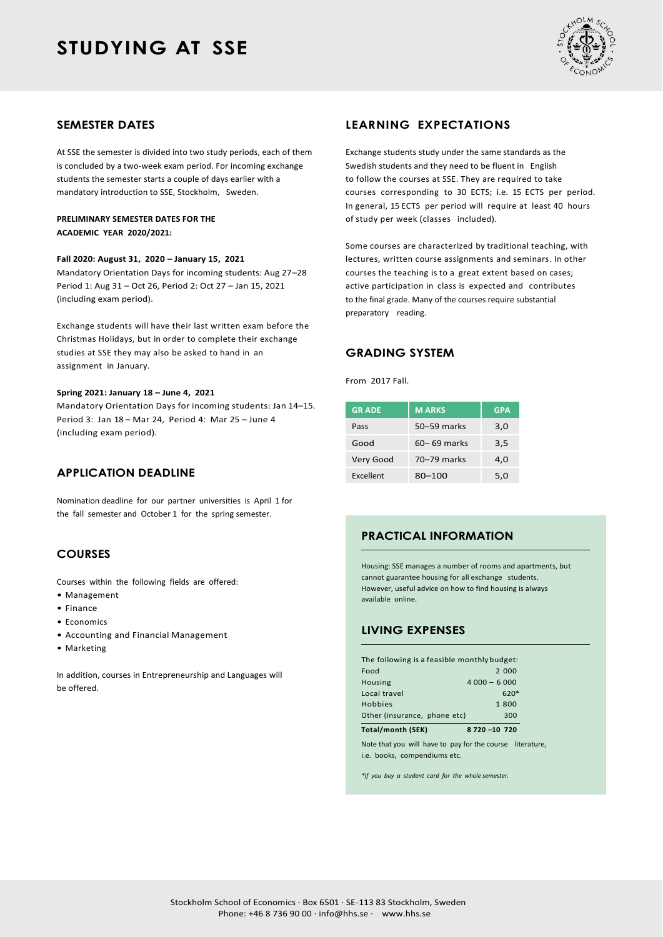# **STUDYING AT SSE**



### **SEMESTER DATES**

At SSE the semester is divided into two study periods, each of them is concluded by a two-week exam period. For incoming exchange students the semester starts a couple of days earlier with a mandatory introduction to SSE, Stockholm, Sweden.

### **PRELIMINARY SEMESTER DATES FOR THE ACADEMIC YEAR 2020/2021:**

#### **Fall 2020: August 31, 2020 – January 15, 2021**

Mandatory Orientation Days for incoming students: Aug 27–28 Period 1: Aug 31 – Oct 26, Period 2: Oct 27 – Jan 15, 2021 (including exam period).

Exchange students will have their last written exam before the Christmas Holidays, but in order to complete their exchange studies at SSE they may also be asked to hand in an assignment in January.

#### **Spring 2021: January 18 – June 4, 2021**

Mandatory Orientation Days for incoming students: Jan 14–15. Period 3: Jan 18 – Mar 24, Period 4: Mar 25 – June 4 (including exam period).

## **APPLICATION DEADLINE**

Nomination deadline for our partner universities is April 1 for the fall semester and October 1 for the spring semester.

# **COURSES**

Courses within the following fields are offered:

- Management
- Finance
- Economics
- Accounting and Financial Management
- Marketing

In addition, courses in Entrepreneurship and Languages will be offered.

## **LEARNING EXPECTATIONS**

Exchange students study under the same standards as the Swedish students and they need to be fluent in English to follow the courses at SSE. They are required to take courses corresponding to 30 ECTS; i.e. 15 ECTS per period. In general, 15 ECTS per period will require at least 40 hours of study per week (classes included).

Some courses are characterized by traditional teaching, with lectures, written course assignments and seminars. In other courses the teaching is to a great extent based on cases; active participation in class is expected and contributes to the final grade. Many of the courses require substantial preparatory reading.

### **GRADING SYSTEM**

From 2017 Fall.

| <b>GRADE</b> | <b>MARKS</b>    | <b>GPA</b> |
|--------------|-----------------|------------|
| Pass         | $50 - 59$ marks | 3,0        |
| Good         | $60 - 69$ marks | 3.5        |
| Very Good    | 70-79 marks     | 4.0        |
| Excellent    | 80-100          | 5.0        |

# **PRACTICAL INFORMATION**

Housing: SSE manages a number of rooms and apartments, but cannot guarantee housing for all exchange students. However, useful advice on how to find housing is always available online.

# **LIVING EXPENSES**

| Total/month (SEK)                           | 8720 - 10 720 |  |  |
|---------------------------------------------|---------------|--|--|
| Other (insurance, phone etc)                | 300           |  |  |
| Hobbies                                     | 1800          |  |  |
| Local travel                                | $620*$        |  |  |
| Housing                                     | $4000 - 6000$ |  |  |
| Food                                        | 2 000         |  |  |
| The following is a feasible monthly budget: |               |  |  |

Note that you will have to pay for the course literature, i.e. books, compendiums etc.

*\*If you buy a student card for the whole semester.*